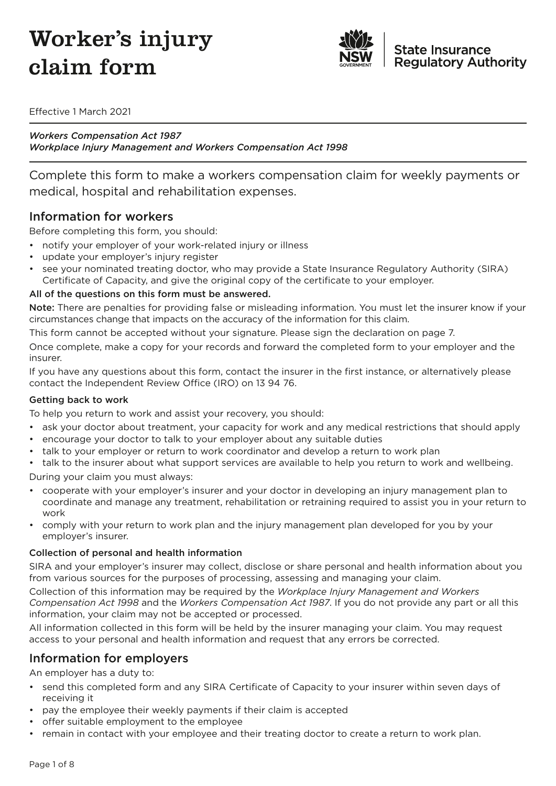# Worker's injury claim form



Effective 1 March 2021

*Workers Compensation Act 1987 Workplace Injury Management and Workers Compensation Act 1998*

Complete this form to make a workers compensation claim for weekly payments or medical, hospital and rehabilitation expenses.

### Information for workers

Before completing this form, you should:

- notify your employer of your work-related injury or illness
- update your employer's injury register
- see your nominated treating doctor, who may provide a State Insurance Regulatory Authority (SIRA) Certificate of Capacity, and give the original copy of the certificate to your employer.

#### All of the questions on this form must be answered.

Note: There are penalties for providing false or misleading information. You must let the insurer know if your circumstances change that impacts on the accuracy of the information for this claim.

This form cannot be accepted without your signature. Please sign the declaration on page 7.

Once complete, make a copy for your records and forward the completed form to your employer and the insurer.

If you have any questions about this form, contact the insurer in the first instance, or alternatively please contact the Independent Review Office (IRO) on 13 94 76.

#### Getting back to work

To help you return to work and assist your recovery, you should:

- ask your doctor about treatment, your capacity for work and any medical restrictions that should apply
- encourage your doctor to talk to your employer about any suitable duties
- talk to your employer or return to work coordinator and develop a return to work plan
- talk to the insurer about what support services are available to help you return to work and wellbeing.

During your claim you must always:

- cooperate with your employer's insurer and your doctor in developing an injury management plan to coordinate and manage any treatment, rehabilitation or retraining required to assist you in your return to work
- comply with your return to work plan and the injury management plan developed for you by your employer's insurer.

#### Collection of personal and health information

SIRA and your employer's insurer may collect, disclose or share personal and health information about you from various sources for the purposes of processing, assessing and managing your claim.

Collection of this information may be required by the *Workplace Injury Management and Workers Compensation Act 1998* and the *Workers Compensation Act 1987*. If you do not provide any part or all this information, your claim may not be accepted or processed.

All information collected in this form will be held by the insurer managing your claim. You may request access to your personal and health information and request that any errors be corrected.

### Information for employers

An employer has a duty to:

- send this completed form and any SIRA Certificate of Capacity to your insurer within seven days of receiving it
- pay the employee their weekly payments if their claim is accepted
- offer suitable employment to the employee
- remain in contact with your employee and their treating doctor to create a return to work plan.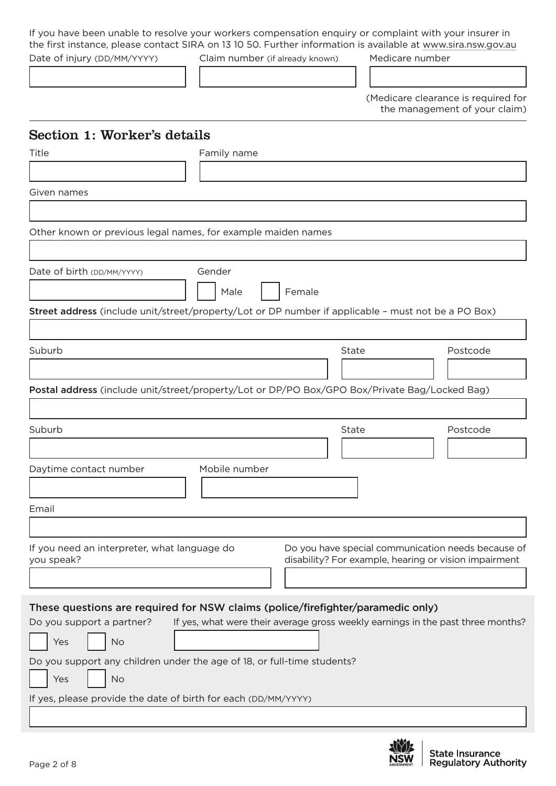If you have been unable to resolve your workers compensation enquiry or complaint with your insurer in the first instance, please contact SIRA on 13 10 50. Further information is available at [www.sira.nsw.gov.au](http://www.sira.nsw.gov.au)

Date of injury (DD/MM/YYYY) Claim number (if already known) Medicare number

(Medicare clearance is required for the management of your claim)

### Section 1: Worker's details

| 1011 1: WOLINGI B GOUGHN<br>Title                                                                   | Family name    |        |                                                       |                                                                                 |
|-----------------------------------------------------------------------------------------------------|----------------|--------|-------------------------------------------------------|---------------------------------------------------------------------------------|
|                                                                                                     |                |        |                                                       |                                                                                 |
|                                                                                                     |                |        |                                                       |                                                                                 |
| Given names                                                                                         |                |        |                                                       |                                                                                 |
|                                                                                                     |                |        |                                                       |                                                                                 |
| Other known or previous legal names, for example maiden names                                       |                |        |                                                       |                                                                                 |
|                                                                                                     |                |        |                                                       |                                                                                 |
| Date of birth (DD/MM/YYYY)                                                                          | Gender<br>Male | Female |                                                       |                                                                                 |
| Street address (include unit/street/property/Lot or DP number if applicable - must not be a PO Box) |                |        |                                                       |                                                                                 |
|                                                                                                     |                |        |                                                       |                                                                                 |
| Suburb                                                                                              |                |        | State                                                 | Postcode                                                                        |
|                                                                                                     |                |        |                                                       |                                                                                 |
| Postal address (include unit/street/property/Lot or DP/PO Box/GPO Box/Private Bag/Locked Bag)       |                |        |                                                       |                                                                                 |
|                                                                                                     |                |        |                                                       |                                                                                 |
| Suburb                                                                                              |                |        | State                                                 | Postcode                                                                        |
|                                                                                                     |                |        |                                                       |                                                                                 |
|                                                                                                     |                |        |                                                       |                                                                                 |
| Daytime contact number                                                                              | Mobile number  |        |                                                       |                                                                                 |
|                                                                                                     |                |        |                                                       |                                                                                 |
| Email                                                                                               |                |        |                                                       |                                                                                 |
|                                                                                                     |                |        |                                                       |                                                                                 |
| If you need an interpreter, what language do<br>you speak?                                          |                |        | disability? For example, hearing or vision impairment | Do you have special communication needs because of                              |
|                                                                                                     |                |        |                                                       |                                                                                 |
| These questions are required for NSW claims (police/firefighter/paramedic only)                     |                |        |                                                       |                                                                                 |
| Do you support a partner?                                                                           |                |        |                                                       | If yes, what were their average gross weekly earnings in the past three months? |
| Yes<br>No                                                                                           |                |        |                                                       |                                                                                 |
| Do you support any children under the age of 18, or full-time students?                             |                |        |                                                       |                                                                                 |
| Yes<br>No                                                                                           |                |        |                                                       |                                                                                 |
| If yes, please provide the date of birth for each (DD/MM/YYYY)                                      |                |        |                                                       |                                                                                 |

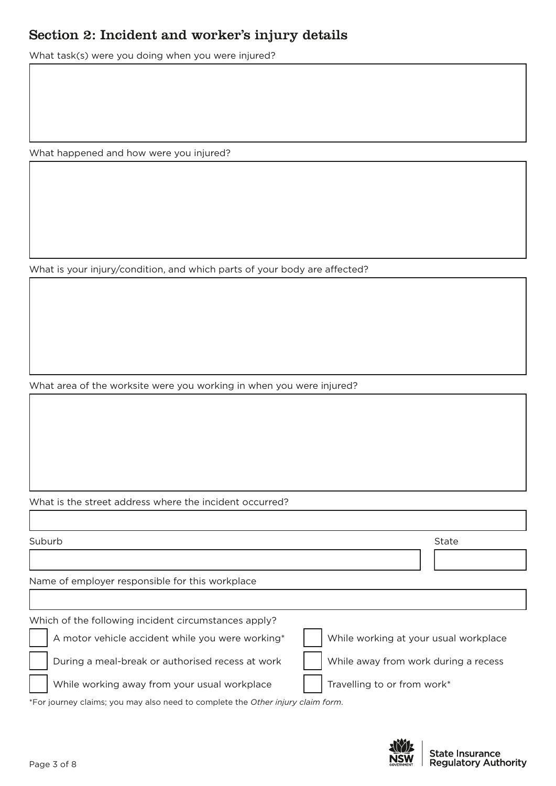### Section 2: Incident and worker's injury details

What task(s) were you doing when you were injured?

What happened and how were you injured?

What is your injury/condition, and which parts of your body are affected?

What area of the worksite were you working in when you were injured?

#### What is the street address where the incident occurred?

| State                                 |
|---------------------------------------|
|                                       |
|                                       |
|                                       |
|                                       |
| While working at your usual workplace |
| While away from work during a recess  |
| Travelling to or from work*           |
|                                       |

\*For journey claims; you may also need to complete the *Other injury claim form*.

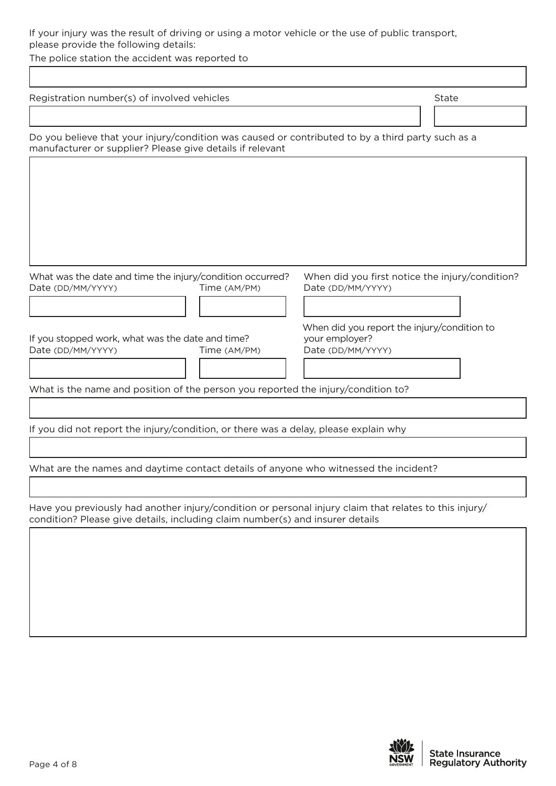#### If your injury was the result of driving or using a motor vehicle or the use of public transport, please provide the following details:

The police station the accident was reported to Г

| Registration number(s) of involved vehicles                                                                                                                                             | State |  |  |  |  |
|-----------------------------------------------------------------------------------------------------------------------------------------------------------------------------------------|-------|--|--|--|--|
|                                                                                                                                                                                         |       |  |  |  |  |
| Do you believe that your injury/condition was caused or contributed to by a third party such as a<br>manufacturer or supplier? Please give details if relevant                          |       |  |  |  |  |
|                                                                                                                                                                                         |       |  |  |  |  |
|                                                                                                                                                                                         |       |  |  |  |  |
|                                                                                                                                                                                         |       |  |  |  |  |
|                                                                                                                                                                                         |       |  |  |  |  |
|                                                                                                                                                                                         |       |  |  |  |  |
| What was the date and time the injury/condition occurred?<br>When did you first notice the injury/condition?<br>Date (DD/MM/YYYY)<br>Time (AM/PM)<br>Date (DD/MM/YYYY)                  |       |  |  |  |  |
|                                                                                                                                                                                         |       |  |  |  |  |
| When did you report the injury/condition to                                                                                                                                             |       |  |  |  |  |
| your employer?<br>If you stopped work, what was the date and time?<br>Date (DD/MM/YYYY)<br>Date (DD/MM/YYYY)<br>Time (AM/PM)                                                            |       |  |  |  |  |
|                                                                                                                                                                                         |       |  |  |  |  |
| What is the name and position of the person you reported the injury/condition to?                                                                                                       |       |  |  |  |  |
|                                                                                                                                                                                         |       |  |  |  |  |
| If you did not report the injury/condition, or there was a delay, please explain why                                                                                                    |       |  |  |  |  |
|                                                                                                                                                                                         |       |  |  |  |  |
| What are the names and daytime contact details of anyone who witnessed the incident?                                                                                                    |       |  |  |  |  |
|                                                                                                                                                                                         |       |  |  |  |  |
| Have you previously had another injury/condition or personal injury claim that relates to this injury/<br>condition? Please give details, including claim number(s) and insurer details |       |  |  |  |  |
|                                                                                                                                                                                         |       |  |  |  |  |
|                                                                                                                                                                                         |       |  |  |  |  |
|                                                                                                                                                                                         |       |  |  |  |  |
|                                                                                                                                                                                         |       |  |  |  |  |
|                                                                                                                                                                                         |       |  |  |  |  |
|                                                                                                                                                                                         |       |  |  |  |  |

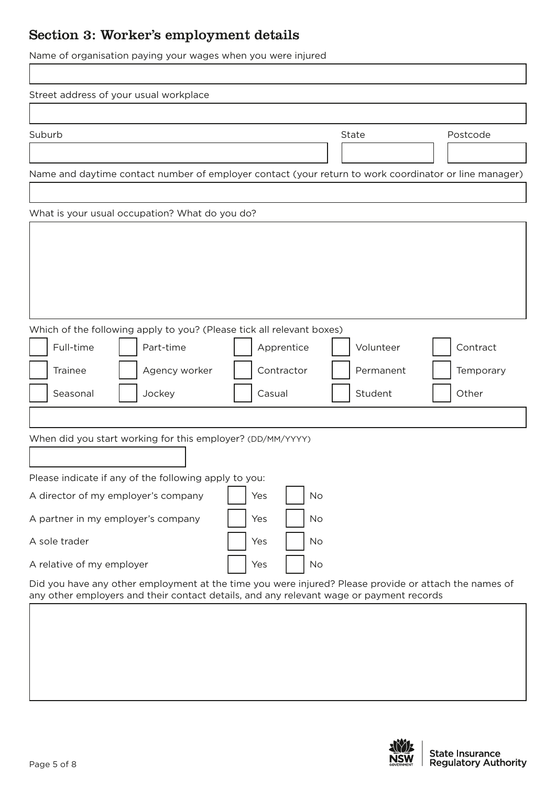# Section 3: Worker's employment details

Name of organisation paying your wages when you were injured

| Street address of your usual workplace                                                                |           |           |
|-------------------------------------------------------------------------------------------------------|-----------|-----------|
| Suburb                                                                                                | State     | Postcode  |
|                                                                                                       |           |           |
| Name and daytime contact number of employer contact (your return to work coordinator or line manager) |           |           |
| What is your usual occupation? What do you do?                                                        |           |           |
|                                                                                                       |           |           |
|                                                                                                       |           |           |
|                                                                                                       |           |           |
|                                                                                                       |           |           |
|                                                                                                       |           |           |
| Which of the following apply to you? (Please tick all relevant boxes)                                 |           |           |
| Full-time<br>Part-time<br>Apprentice                                                                  | Volunteer | Contract  |
| Contractor<br><b>Trainee</b><br>Agency worker                                                         | Permanent | Temporary |
| Seasonal<br>Jockey<br>Casual                                                                          | Student   | Other     |
|                                                                                                       |           |           |
| When did you start working for this employer? (DD/MM/YYYY)                                            |           |           |
|                                                                                                       |           |           |
| Please indicate if any of the following apply to you:                                                 |           |           |
| A director of my employer's company<br>Yes                                                            | No        |           |
| A partner in my employer's company<br>Yes                                                             | No        |           |
| A sole trader<br>Yes                                                                                  | No        |           |
| A relative of my employer<br>Yes                                                                      | No        |           |
| Did you have any other employment at the time you were injured? Please provide or attach the names of |           |           |
| any other employers and their contact details, and any relevant wage or payment records               |           |           |
|                                                                                                       |           |           |

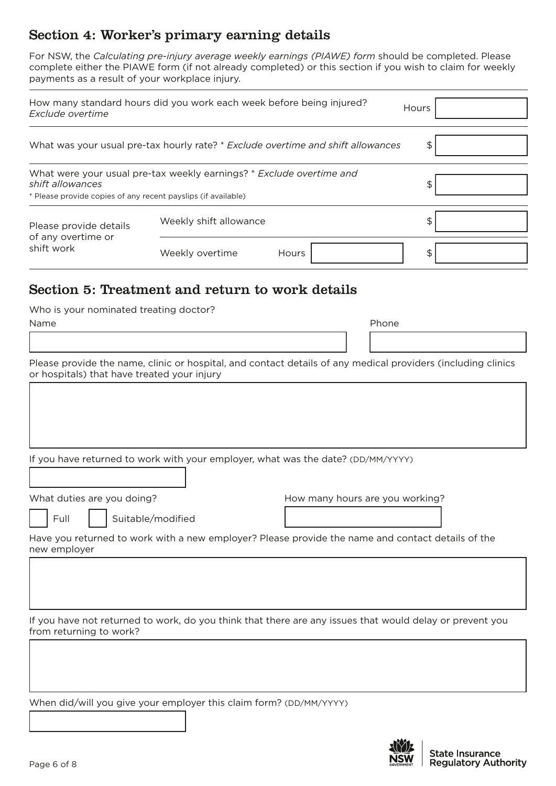### Section 4: Worker's primary earning details

For NSW, the *Calculating pre-injury average weekly earnings (PIAWE) form* should be completed. Please complete either the PIAWE form (if not already completed) or this section if you wish to claim for weekly payments as a result of your workplace injury.

| Exclude overtime                                              | How many standard hours did you work each week before being injured?                                         | Hours |
|---------------------------------------------------------------|--------------------------------------------------------------------------------------------------------------|-------|
|                                                               | What was your usual pre-tax hourly rate? * Exclude overtime and shift allowances                             | \$    |
| shift allowances                                              | What were your usual pre-tax weekly earnings? * Exclude overtime and                                         | \$    |
| * Please provide copies of any recent payslips (if available) |                                                                                                              |       |
| Please provide details<br>of any overtime or<br>shift work    | Weekly shift allowance                                                                                       | \$    |
|                                                               | Weekly overtime<br>Hours                                                                                     | \$    |
|                                                               | Section 5: Treatment and return to work details                                                              |       |
| Who is your nominated treating doctor?                        |                                                                                                              |       |
| Name                                                          |                                                                                                              | Phone |
|                                                               |                                                                                                              |       |
| or hospitals) that have treated your injury                   | Please provide the name, clinic or hospital, and contact details of any medical providers (including clinics |       |
|                                                               |                                                                                                              |       |

If you have returned to work with your employer, what was the date? (DD/MM/YYYY)

What duties are you doing? The Many How many hours are you working?

Full | Suitable/modified

Have you returned to work with a new employer? Please provide the name and contact details of the new employer

If you have not returned to work, do you think that there are any issues that would delay or prevent you from returning to work?

When did/will you give your employer this claim form? (DD/MM/YYYY)

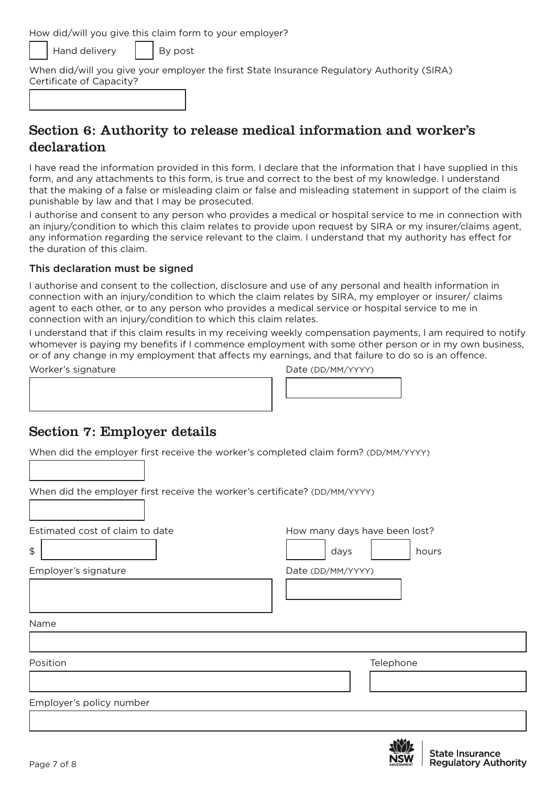How did/will you give this claim form to your employer?

Hand delivery  $\|\cdot\|$  By post

When did/will you give your employer the first State Insurance Regulatory Authority (SIRA) Certificate of Capacity?

### Section 6: Authority to release medical information and worker's declaration

I have read the information provided in this form. I declare that the information that I have supplied in this form, and any attachments to this form, is true and correct to the best of my knowledge. I understand that the making of a false or misleading claim or false and misleading statement in support of the claim is punishable by law and that I may be prosecuted.

I authorise and consent to any person who provides a medical or hospital service to me in connection with an injury/condition to which this claim relates to provide upon request by SIRA or my insurer/claims agent, any information regarding the service relevant to the claim. I understand that my authority has effect for the duration of this claim.

#### This declaration must be signed

I authorise and consent to the collection, disclosure and use of any personal and health information in connection with an injury/condition to which the claim relates by SIRA, my employer or insurer/ claims agent to each other, or to any person who provides a medical service or hospital service to me in connection with an injury/condition to which this claim relates.

I understand that if this claim results in my receiving weekly compensation payments, I am required to notify whomever is paying my benefits if I commence employment with some other person or in my own business, or of any change in my employment that affects my earnings, and that failure to do so is an offence.

Worker's signature and the Date (DD/MM/YYYY)

### Section 7: Employer details

When did the employer first receive the worker's completed claim form? (DD/MM/YYYY)

When did the employer first receive the worker's certificate? (DD/MM/YYYY)

Estimated cost of claim to date How Many days have been lost?

\$ days hours

Employer's signature and the Date (DD/MM/YYYY)

Name

Position **Telephone** 

Employer's policy number